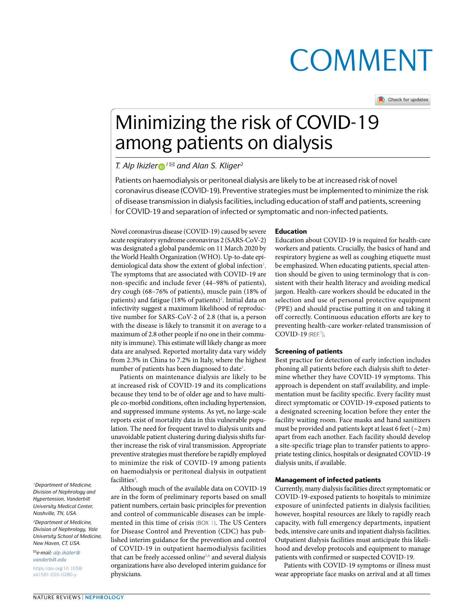# **COMMENT**

# Minimizing the risk of COVID-19 among patients on dialysis

## *T.* Alp Ikizler<sup>*D*<sup>*1*⊠</sup> and Alan S. Kliger<sup>2</sup></sup>

Patients on haemodialysis or peritoneal dialysis are likely to be at increased risk of novel coronavirus disease (COVID-19). Preventive strategies must be implemented to minimize the risk of disease transmission in dialysis facilities, including education of staff and patients, screening for COVID-19 and separation of infected or symptomatic and non-infected patients.

Novel coronavirus disease (COVID-19) caused by severe acute respiratory syndrome coronavirus 2 (SARS-CoV-2) was designated a global pandemic on 11 March 2020 by the World Health Organization (WHO). Up-to-date epidemiological data show the extent of global infection $l$ . The symptoms that are associated with COVID-19 are non-specific and include fever (44–98% of patients), dry cough (68–76% of patients), muscle pain (18% of patients) and fatigue (18% of patients)<sup>2</sup>. Initial data on infectivity suggest a maximum likelihood of reproductive number for SARS-CoV-2 of 2.8 (that is, a person with the disease is likely to transmit it on average to a maximum of 2.8 other people if no one in their community is immune). This estimate will likely change as more data are analysed. Reported mortality data vary widely from 2.3% in China to 7.2% in Italy, where the highest number of patients has been diagnosed to date<sup>3</sup>.

Patients on maintenance dialysis are likely to be at increased risk of COVID-19 and its complications because they tend to be of older age and to have multiple co-morbid conditions, often including hypertension, and suppressed immune systems. As yet, no large-scale reports exist of mortality data in this vulnerable population. The need for frequent travel to dialysis units and unavoidable patient clustering during dialysis shifts further increase the risk of viral transmission. Appropriate preventive strategies must therefore be rapidly employed to minimize the risk of COVID-19 among patients on haemodialysis or peritoneal dialysis in outpatient facilities<sup>4</sup>.

Although much of the available data on COVID-19 are in the form of preliminary reports based on small patient numbers, certain basic principles for prevention and control of communicable diseases can be implemented in this time of crisis (Box [1\)](#page-1-0). The US Centers for Disease Control and Prevention (CDC) has published interim guidance for the prevention and control of COVID-19 in outpatient haemodialysis facilities that can be freely accessed online<sup>5,[6](#page-2-5)</sup> and several dialysis organizations have also developed interim guidance for physicians.

#### Education

Education about COVID-19 is required for health-care workers and patients. Crucially, the basics of hand and respiratory hygiene as well as coughing etiquette must be emphasized. When educating patients, special attention should be given to using terminology that is consistent with their health literacy and avoiding medical jargon. Health-care workers should be educated in the selection and use of personal protective equipment (PPE) and should practise putting it on and taking it off correctly. Continuous education efforts are key to preventing health-care worker-related transmission of  $COVID-19$  (REF.<sup>[7](#page-2-6)</sup>).

#### Screening of patients

Best practice for detection of early infection includes phoning all patients before each dialysis shift to determine whether they have COVID-19 symptoms. This approach is dependent on staff availability, and implementation must be facility specific. Every facility must direct symptomatic or COVID-19-exposed patients to a designated screening location before they enter the facility waiting room. Face masks and hand sanitizers must be provided and patients kept at least 6 feet  $(-2m)$ apart from each another. Each facility should develop a site-specific triage plan to transfer patients to appropriate testing clinics, hospitals or designated COVID-19 dialysis units, if available.

#### Management of infected patients

Currently, many dialysis facilities direct symptomatic or COVID-19-exposed patients to hospitals to minimize exposure of uninfected patients in dialysis facilities; however, hospital resources are likely to rapidly reach capacity, with full emergency departments, inpatient beds, intensive care units and inpatient dialysis facilities. Outpatient dialysis facilities must anticipate this likelihood and develop protocols and equipment to manage patients with confirmed or suspected COVID-19.

Patients with COVID-19 symptoms or illness must wear appropriate face masks on arrival and at all times

*1Department of Medicine, Division of Nephrology and Hypertension, Vanderbilt University Medical Center, Nashville, TN, USA.*

*2Department of Medicine, Division of Nephrology, Yale University School of Medicine, New Haven, CT, USA.*

✉*e-mail: [alp.ikizler@](mailto:alp.ikizler@vanderbilt.edu) [vanderbilt.edu](mailto:alp.ikizler@vanderbilt.edu)* [https://doi.org/10.1038/](https://doi.org/10.1038/s41581-020-0280-y) [s41581-020-0280-y](https://doi.org/10.1038/s41581-020-0280-y)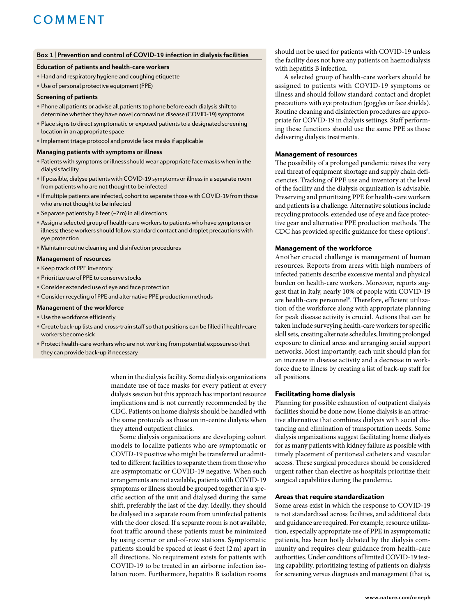#### <span id="page-1-0"></span>**Box 1** | **prevention and control of CoVID-19 infection in dialysis facilities**

#### **education of patients and health-care workers**

- Hand and respiratory hygiene and coughing etiquette
- Use of personal protective equipment (PPE)

#### **Screening of patients**

- Phone all patients or advise all patients to phone before each dialysis shift to determine whether they have novel coronavirus disease (COVID-19) symptoms
- Place signs to direct symptomatic or exposed patients to a designated screening location in an appropriate space
- Implement triage protocol and provide face masks if applicable

#### **Managing patients with symptoms or illness**

- Patients with symptoms or illness should wear appropriate face masks when in the dialysis facility
- If possible, dialyse patients with COVID-19 symptoms or illness in a separate room from patients who are not thought to be infected
- If multiple patients are infected, cohort to separate those with COVID-19 from those who are not thought to be infected
- Separate patients by 6 feet (~2 m) in all directions
- • Assign a selected group of health-care workersto patients who have symptoms or illness; these workers should follow standard contact and droplet precautions with eye protection
- • Maintain routine cleaning and disinfection procedures

#### **Management of resources**

- • Keep track of PPE inventory
- Prioritize use of PPE to conserve stocks
- • Consider extended use of eye and face protection
- Consider recycling of PPE and alternative PPE production methods

#### **Management of the workforce**

- • Use the workforce efficiently
- • Create back-up lists and cross-train staffso that positions can be filled if health-care workers become sick
- Protect health-care workers who are not working from potential exposure so that they can provide back-up if necessary

when in the dialysis facility. Some dialysis organizations mandate use of face masks for every patient at every dialysis session but this approach has important resource implications and is not currently recommended by the CDC. Patients on home dialysis should be handled with the same protocols as those on in-centre dialysis when they attend outpatient clinics.

Some dialysis organizations are developing cohort models to localize patients who are symptomatic or COVID-19 positive who might be transferred or admitted to different facilities to separate them from those who are asymptomatic or COVID-19 negative. When such arrangements are not available, patients with COVID-19 symptoms or illness should be grouped together in a specific section of the unit and dialysed during the same shift, preferably the last of the day. Ideally, they should be dialysed in a separate room from uninfected patients with the door closed. If a separate room is not available, foot traffic around these patients must be minimized by using corner or end-of-row stations. Symptomatic patients should be spaced at least 6 feet (2m) apart in all directions. No requirement exists for patients with COVID-19 to be treated in an airborne infection isolation room. Furthermore, hepatitis B isolation rooms should not be used for patients with COVID-19 unless the facility does not have any patients on haemodialysis with hepatitis B infection.

A selected group of health-care workers should be assigned to patients with COVID-19 symptoms or illness and should follow standard contact and droplet precautions with eye protection (goggles or face shields). Routine cleaning and disinfection procedures are appropriate for COVID-19 in dialysis settings. Staff performing these functions should use the same PPE as those delivering dialysis treatments.

### Management of resources

The possibility of a prolonged pandemic raises the very real threat of equipment shortage and supply chain deficiencies. Tracking of PPE use and inventory at the level of the facility and the dialysis organization is advisable. Preserving and prioritizing PPE for health-care workers and patients is a challenge. Alternative solutions include recycling protocols, extended use of eye and face protective gear and alternative PPE production methods. The CDC has provided specific guidance for these options<sup>8</sup>.

#### Management of the workforce

Another crucial challenge is management of human resources. Reports from areas with high numbers of infected patients describe excessive mental and physical burden on health-care workers. Moreover, reports suggest that in Italy, nearly 10% of people with COVID-19 are health-care personnel<sup>[9](#page-2-8)</sup>. Therefore, efficient utilization of the workforce along with appropriate planning for peak disease activity is crucial. Actions that can be taken include surveying health-care workers for specific skill sets, creating alternate schedules, limiting prolonged exposure to clinical areas and arranging social support networks. Most importantly, each unit should plan for an increase in disease activity and a decrease in workforce due to illness by creating a list of back-up staff for all positions.

#### Facilitating home dialysis

Planning for possible exhaustion of outpatient dialysis facilities should be done now. Home dialysis is an attractive alternative that combines dialysis with social distancing and elimination of transportation needs. Some dialysis organizations suggest facilitating home dialysis for as many patients with kidney failure as possible with timely placement of peritoneal catheters and vascular access. These surgical procedures should be considered urgent rather than elective as hospitals prioritize their surgical capabilities during the pandemic.

### Areas that require standardization

Some areas exist in which the response to COVID-19 is not standardized across facilities, and additional data and guidance are required. For example, resource utilization, especially appropriate use of PPE in asymptomatic patients, has been hotly debated by the dialysis community and requires clear guidance from health-care authorities. Under conditions of limited COVID-19 testing capability, prioritizing testing of patients on dialysis for screening versus diagnosis and management (that is,